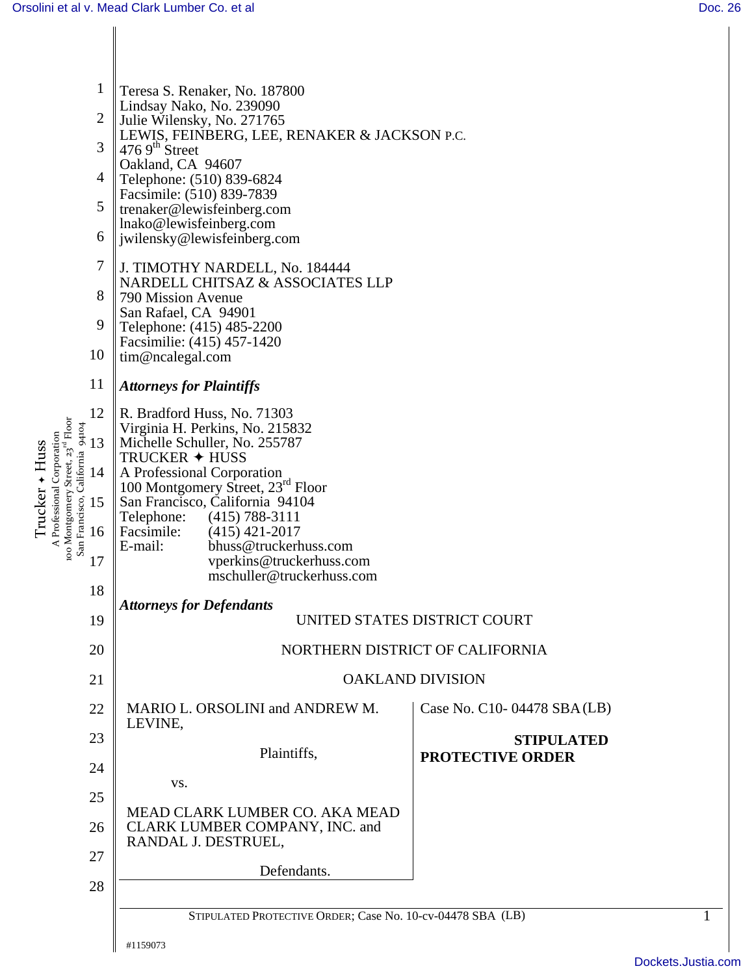| $\mathbf 1$                                                  | Teresa S. Renaker, No. 187800                                             |                                              |
|--------------------------------------------------------------|---------------------------------------------------------------------------|----------------------------------------------|
| $\overline{2}$                                               | Lindsay Nako, No. 239090<br>Julie Wilensky, No. 271765                    |                                              |
| 3                                                            | LEWIS, FEINBERG, LEE, RENAKER & JACKSON P.C.<br>$4769^{\text{th}}$ Street |                                              |
| 4                                                            | Oakland, CA 94607<br>Telephone: (510) 839-6824                            |                                              |
| 5                                                            | Facsimile: (510) 839-7839<br>trenaker@lewisfeinberg.com                   |                                              |
| 6                                                            | lnako@lewisfeinberg.com<br>jwilensky@lewisfeinberg.com                    |                                              |
| $\tau$                                                       | J. TIMOTHY NARDELL, No. 184444<br>NARDELL CHITSAZ & ASSOCIATES LLP        |                                              |
| 8                                                            | 790 Mission Avenue<br>San Rafael, CA 94901                                |                                              |
| 9                                                            | Telephone: (415) 485-2200<br>Facsimilie: (415) 457-1420                   |                                              |
| 10                                                           | tim@ncalegal.com                                                          |                                              |
| 11                                                           | <b>Attorneys for Plaintiffs</b>                                           |                                              |
| 12                                                           | R. Bradford Huss, No. 71303<br>Virginia H. Perkins, No. 215832            |                                              |
| 100 Montgomery Street, 23 <sup>rd</sup> Floor<br>94104<br>13 | Michelle Schuller, No. 255787<br>TRUCKER $\triangle$ HUSS                 |                                              |
| California<br>14                                             | A Professional Corporation<br>100 Montgomery Street, 23rd Floor           |                                              |
| 15                                                           | San Francisco, California 94104<br>Telephone:<br>$(415)$ 788-3111         |                                              |
| San Francisco,<br>16                                         | Facsimile:<br>$(415)$ 421-2017<br>E-mail:<br>bhuss@truckerhuss.com        |                                              |
| 17                                                           | vperkins@truckerhuss.com<br>mschuller@truckerhuss.com                     |                                              |
| 18                                                           | <b>Attorneys for Defendants</b>                                           |                                              |
| 19                                                           |                                                                           | UNITED STATES DISTRICT COURT                 |
| 20                                                           |                                                                           | NORTHERN DISTRICT OF CALIFORNIA              |
| 21                                                           |                                                                           | <b>OAKLAND DIVISION</b>                      |
| 22                                                           | MARIO L. ORSOLINI and ANDREW M.<br>LEVINE,                                | Case No. C10-04478 SBA(LB)                   |
| 23                                                           | Plaintiffs,                                                               | <b>STIPULATED</b><br><b>PROTECTIVE ORDER</b> |
| 24                                                           | VS.                                                                       |                                              |
| 25                                                           | MEAD CLARK LUMBER CO. AKA MEAD                                            |                                              |
| 26                                                           | CLARK LUMBER COMPANY, INC. and<br>RANDAL J. DESTRUEL,                     |                                              |
| 27                                                           | Defendants.                                                               |                                              |
| 28                                                           |                                                                           |                                              |
|                                                              | STIPULATED PROTECTIVE ORDER; Case No. 10-cv-04478 SBA (LB)                |                                              |

Trucker

Ø Huss

A Professional Corporation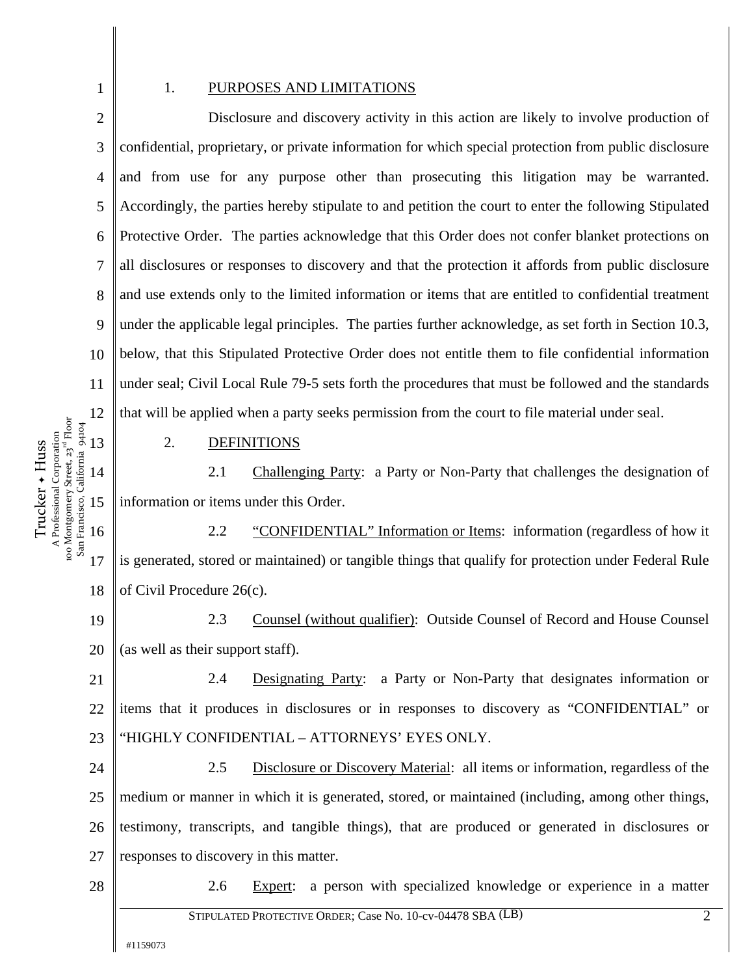# 1

#### 1. PURPOSES AND LIMITATIONS

 $\mathfrak{D}$ 3 4 5 6 7 8 9 10 11 12 Disclosure and discovery activity in this action are likely to involve production of confidential, proprietary, or private information for which special protection from public disclosure and from use for any purpose other than prosecuting this litigation may be warranted. Accordingly, the parties hereby stipulate to and petition the court to enter the following Stipulated Protective Order. The parties acknowledge that this Order does not confer blanket protections on all disclosures or responses to discovery and that the protection it affords from public disclosure and use extends only to the limited information or items that are entitled to confidential treatment under the applicable legal principles. The parties further acknowledge, as set forth in Section 10.3, below, that this Stipulated Protective Order does not entitle them to file confidential information under seal; Civil Local Rule 79-5 sets forth the procedures that must be followed and the standards that will be applied when a party seeks permission from the court to file material under seal.

#### 2. DEFINITIONS

2.1 Challenging Party: a Party or Non-Party that challenges the designation of information or items under this Order.

16 17 18 2.2 "CONFIDENTIAL" Information or Items: information (regardless of how it is generated, stored or maintained) or tangible things that qualify for protection under Federal Rule of Civil Procedure 26(c).

19 20 2.3 Counsel (without qualifier): Outside Counsel of Record and House Counsel (as well as their support staff).

21 22 23 2.4 Designating Party: a Party or Non-Party that designates information or items that it produces in disclosures or in responses to discovery as "CONFIDENTIAL" or "HIGHLY CONFIDENTIAL – ATTORNEYS' EYES ONLY.

24 25 26 27 2.5 Disclosure or Discovery Material: all items or information, regardless of the medium or manner in which it is generated, stored, or maintained (including, among other things, testimony, transcripts, and tangible things), that are produced or generated in disclosures or responses to discovery in this matter.

28

Trucker

Ø Huss

A Professional Corporation 100 Montgomery Street, 23<sup>rd</sup> Floor San Francisco, California 94104

A Professional Corporation

100 Montgomery Street, 23<sup>rd</sup> Floor San Francisco, California 94104

13

14

15

2.6 Expert: a person with specialized knowledge or experience in a matter

STIPULATED PROTECTIVE ORDER; Case No. 10-cv-04478 SBA (LB) 2

#1159073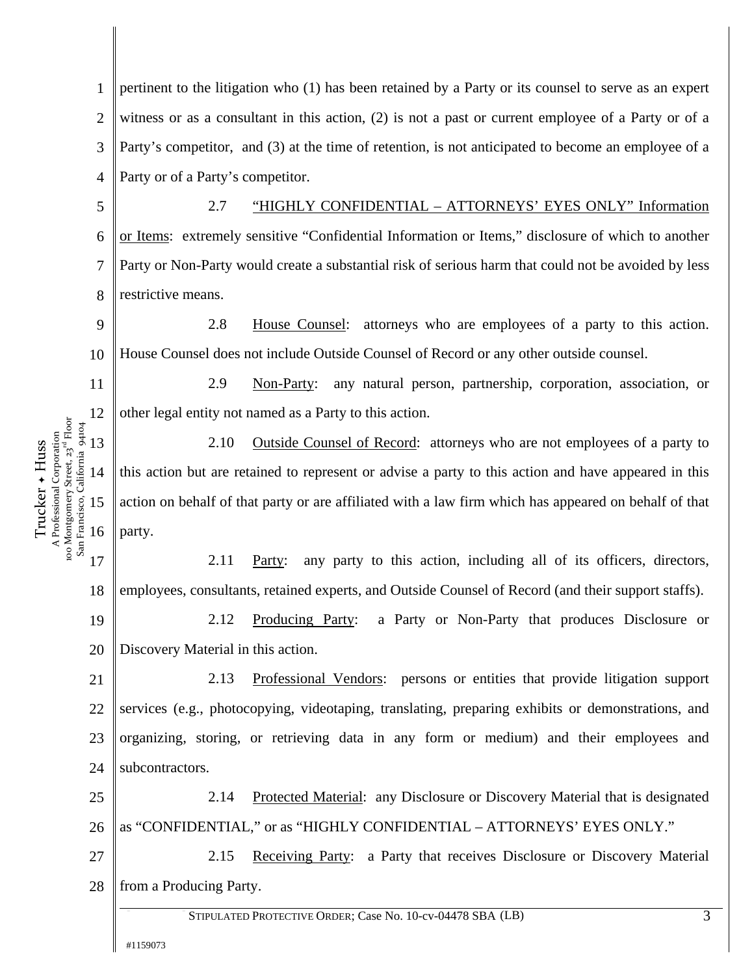1  $\mathfrak{D}$ 3 4 pertinent to the litigation who (1) has been retained by a Party or its counsel to serve as an expert witness or as a consultant in this action, (2) is not a past or current employee of a Party or of a Party's competitor, and (3) at the time of retention, is not anticipated to become an employee of a Party or of a Party's competitor.

2.7 "HIGHLY CONFIDENTIAL – ATTORNEYS' EYES ONLY" Information or Items: extremely sensitive "Confidential Information or Items," disclosure of which to another Party or Non-Party would create a substantial risk of serious harm that could not be avoided by less restrictive means.

9 10 2.8 House Counsel: attorneys who are employees of a party to this action. House Counsel does not include Outside Counsel of Record or any other outside counsel.

11 12 2.9 Non-Party: any natural person, partnership, corporation, association, or other legal entity not named as a Party to this action.

2.10 Outside Counsel of Record: attorneys who are not employees of a party to this action but are retained to represent or advise a party to this action and have appeared in this action on behalf of that party or are affiliated with a law firm which has appeared on behalf of that party.

17 18 2.11 Party: any party to this action, including all of its officers, directors, employees, consultants, retained experts, and Outside Counsel of Record (and their support staffs).

19 20 2.12 Producing Party: a Party or Non-Party that produces Disclosure or Discovery Material in this action.

21 22 23 24 2.13 Professional Vendors: persons or entities that provide litigation support services (e.g., photocopying, videotaping, translating, preparing exhibits or demonstrations, and organizing, storing, or retrieving data in any form or medium) and their employees and subcontractors.

25 26 2.14 Protected Material: any Disclosure or Discovery Material that is designated as "CONFIDENTIAL," or as "HIGHLY CONFIDENTIAL – ATTORNEYS' EYES ONLY."

27 28 2.15 Receiving Party: a Party that receives Disclosure or Discovery Material from a Producing Party.

STIPULATED PROTECTIVE ORDER; Case No. 10-cv-04478 SBA (LB) 3

100 Montgomery Street,  $23^{\text{rd}}$  Floor<br>San Francisco, California 94104 100 Montgomery Street, 23<sup>rd</sup> Floor San Francisco, California 94104 A Professional Corporation A Professional Corporation 13 Ø Huss 14 Trucker 15 16

5

6

7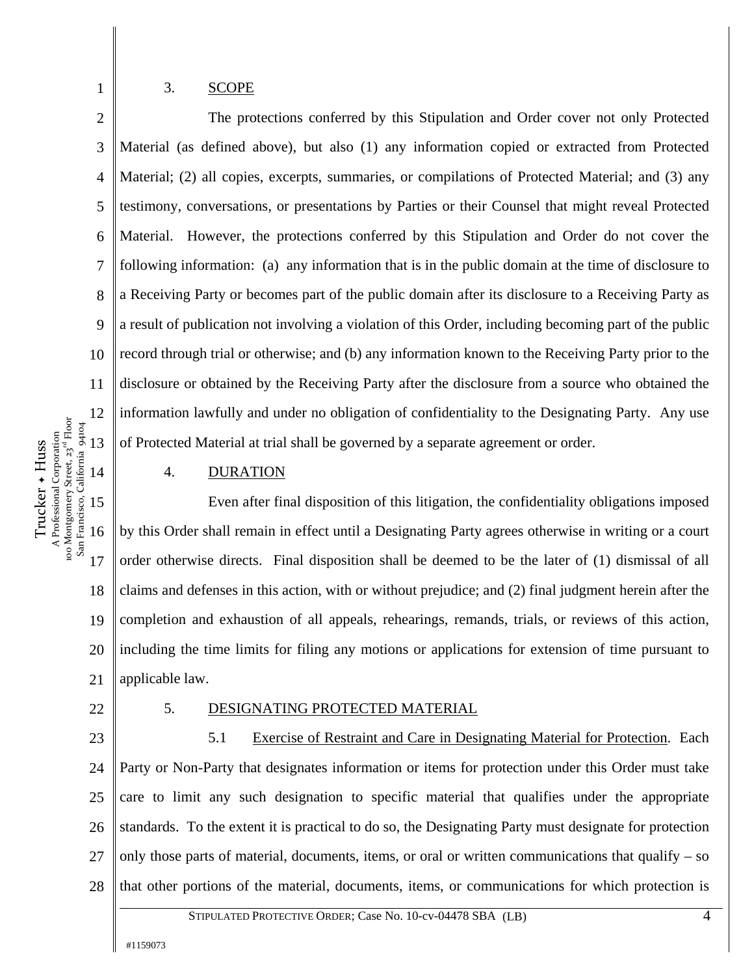#### 3. SCOPE

1

2 3 4 5 6 7 8 9 10 11 12 The protections conferred by this Stipulation and Order cover not only Protected Material (as defined above), but also (1) any information copied or extracted from Protected Material; (2) all copies, excerpts, summaries, or compilations of Protected Material; and (3) any testimony, conversations, or presentations by Parties or their Counsel that might reveal Protected Material. However, the protections conferred by this Stipulation and Order do not cover the following information: (a) any information that is in the public domain at the time of disclosure to a Receiving Party or becomes part of the public domain after its disclosure to a Receiving Party as a result of publication not involving a violation of this Order, including becoming part of the public record through trial or otherwise; and (b) any information known to the Receiving Party prior to the disclosure or obtained by the Receiving Party after the disclosure from a source who obtained the information lawfully and under no obligation of confidentiality to the Designating Party. Any use of Protected Material at trial shall be governed by a separate agreement or order.

#### 4. DURATION

18 19 20 Even after final disposition of this litigation, the confidentiality obligations imposed by this Order shall remain in effect until a Designating Party agrees otherwise in writing or a court order otherwise directs. Final disposition shall be deemed to be the later of (1) dismissal of all claims and defenses in this action, with or without prejudice; and (2) final judgment herein after the completion and exhaustion of all appeals, rehearings, remands, trials, or reviews of this action, including the time limits for filing any motions or applications for extension of time pursuant to applicable law.

22

21

# 5. DESIGNATING PROTECTED MATERIAL

23 24 25 26 27 28 5.1 Exercise of Restraint and Care in Designating Material for Protection. Each Party or Non-Party that designates information or items for protection under this Order must take care to limit any such designation to specific material that qualifies under the appropriate standards. To the extent it is practical to do so, the Designating Party must designate for protection only those parts of material, documents, items, or oral or written communications that qualify – so that other portions of the material, documents, items, or communications for which protection is

STIPULATED PROTECTIVE ORDER; Case No. 10-cv-04478 SBA (LB) 4

#1159073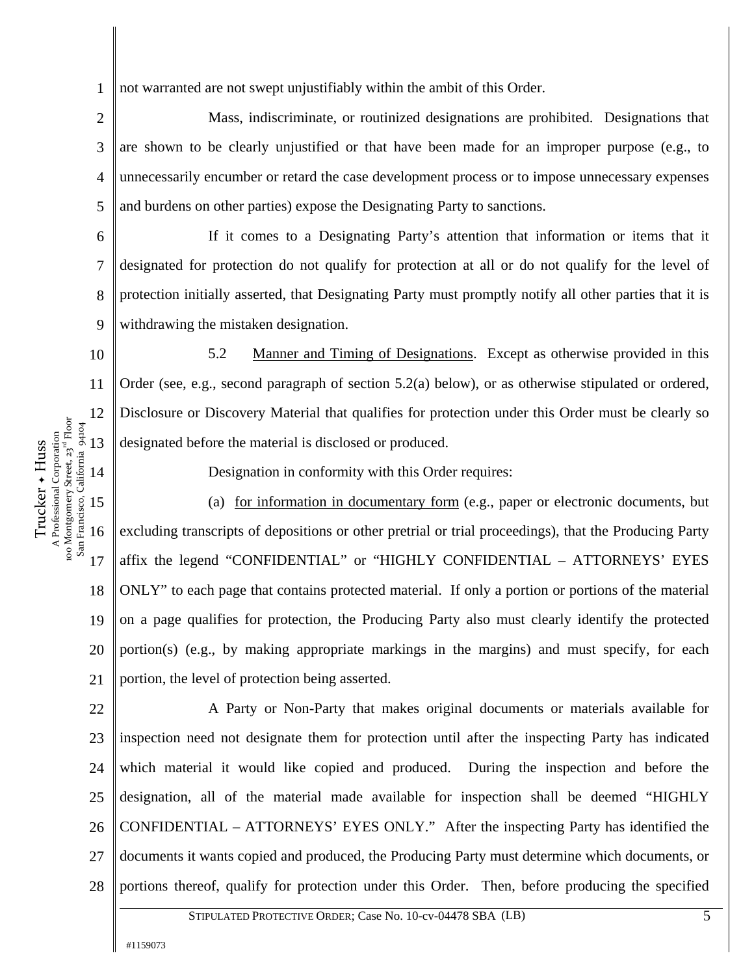1 not warranted are not swept unjustifiably within the ambit of this Order.

2 3 4 5 Mass, indiscriminate, or routinized designations are prohibited. Designations that are shown to be clearly unjustified or that have been made for an improper purpose (e.g., to unnecessarily encumber or retard the case development process or to impose unnecessary expenses and burdens on other parties) expose the Designating Party to sanctions.

If it comes to a Designating Party's attention that information or items that it designated for protection do not qualify for protection at all or do not qualify for the level of protection initially asserted, that Designating Party must promptly notify all other parties that it is withdrawing the mistaken designation.

5.2 Manner and Timing of Designations. Except as otherwise provided in this Order (see, e.g., second paragraph of section 5.2(a) below), or as otherwise stipulated or ordered, Disclosure or Discovery Material that qualifies for protection under this Order must be clearly so designated before the material is disclosed or produced.

Designation in conformity with this Order requires:

18 19 20 21 (a) for information in documentary form (e.g., paper or electronic documents, but excluding transcripts of depositions or other pretrial or trial proceedings), that the Producing Party affix the legend "CONFIDENTIAL" or "HIGHLY CONFIDENTIAL – ATTORNEYS' EYES ONLY" to each page that contains protected material. If only a portion or portions of the material on a page qualifies for protection, the Producing Party also must clearly identify the protected portion(s) (e.g., by making appropriate markings in the margins) and must specify, for each portion, the level of protection being asserted.

22 23 24 25 26 27 28 A Party or Non-Party that makes original documents or materials available for inspection need not designate them for protection until after the inspecting Party has indicated which material it would like copied and produced. During the inspection and before the designation, all of the material made available for inspection shall be deemed "HIGHLY CONFIDENTIAL – ATTORNEYS' EYES ONLY." After the inspecting Party has identified the documents it wants copied and produced, the Producing Party must determine which documents, or portions thereof, qualify for protection under this Order. Then, before producing the specified

STIPULATED PROTECTIVE ORDER; Case No. 10-cv-04478 SBA (LB) 5

100 Montgomery Street,  $23^{\text{rd}}$  Floor<br>San Francisco, California 94104 100 Montgomery Street, 23<sup>rd</sup> Floor San Francisco, California 94104 A Professional Corporation A Professional Corporation 13 Ø Huss 14 Trucker 15 16

6

7

8

9

10

11

12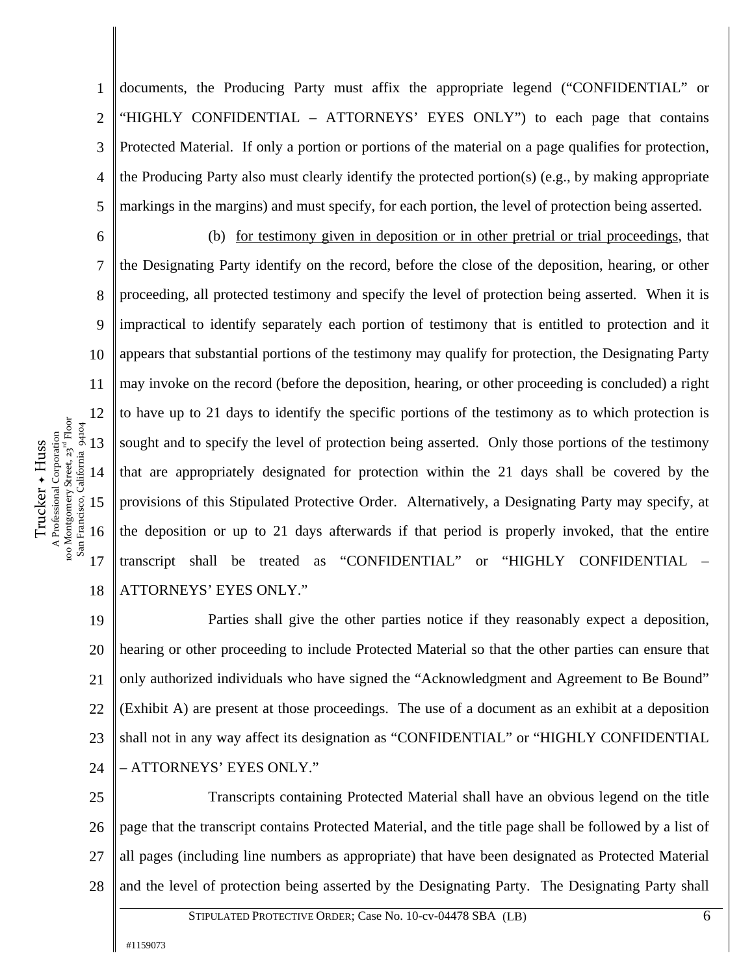1 2 3 4 5 documents, the Producing Party must affix the appropriate legend ("CONFIDENTIAL" or "HIGHLY CONFIDENTIAL – ATTORNEYS' EYES ONLY") to each page that contains Protected Material. If only a portion or portions of the material on a page qualifies for protection, the Producing Party also must clearly identify the protected portion(s) (e.g., by making appropriate markings in the margins) and must specify, for each portion, the level of protection being asserted.

6 7 8 9 10 12 18 (b) for testimony given in deposition or in other pretrial or trial proceedings, that the Designating Party identify on the record, before the close of the deposition, hearing, or other proceeding, all protected testimony and specify the level of protection being asserted. When it is impractical to identify separately each portion of testimony that is entitled to protection and it appears that substantial portions of the testimony may qualify for protection, the Designating Party may invoke on the record (before the deposition, hearing, or other proceeding is concluded) a right to have up to 21 days to identify the specific portions of the testimony as to which protection is sought and to specify the level of protection being asserted. Only those portions of the testimony that are appropriately designated for protection within the 21 days shall be covered by the provisions of this Stipulated Protective Order. Alternatively, a Designating Party may specify, at the deposition or up to 21 days afterwards if that period is properly invoked, that the entire transcript shall be treated as "CONFIDENTIAL" or "HIGHLY CONFIDENTIAL – ATTORNEYS' EYES ONLY."

19 20 21 22 23 24 Parties shall give the other parties notice if they reasonably expect a deposition, hearing or other proceeding to include Protected Material so that the other parties can ensure that only authorized individuals who have signed the "Acknowledgment and Agreement to Be Bound" (Exhibit A) are present at those proceedings. The use of a document as an exhibit at a deposition shall not in any way affect its designation as "CONFIDENTIAL" or "HIGHLY CONFIDENTIAL – ATTORNEYS' EYES ONLY."

25 26 27 28 Transcripts containing Protected Material shall have an obvious legend on the title page that the transcript contains Protected Material, and the title page shall be followed by a list of all pages (including line numbers as appropriate) that have been designated as Protected Material and the level of protection being asserted by the Designating Party. The Designating Party shall

STIPULATED PROTECTIVE ORDER; Case No. 10-cv-04478 SBA (LB) 6

100 Montgomery Street,  $23^{\text{rd}}$  Floor<br>San Francisco, California 94104 100 Montgomery Street, 23<sup>rd</sup> Floor San Francisco, California 94104 A Professional Corporation A Professional Corporation 13 Ø Huss 14 Trucker 15 16

11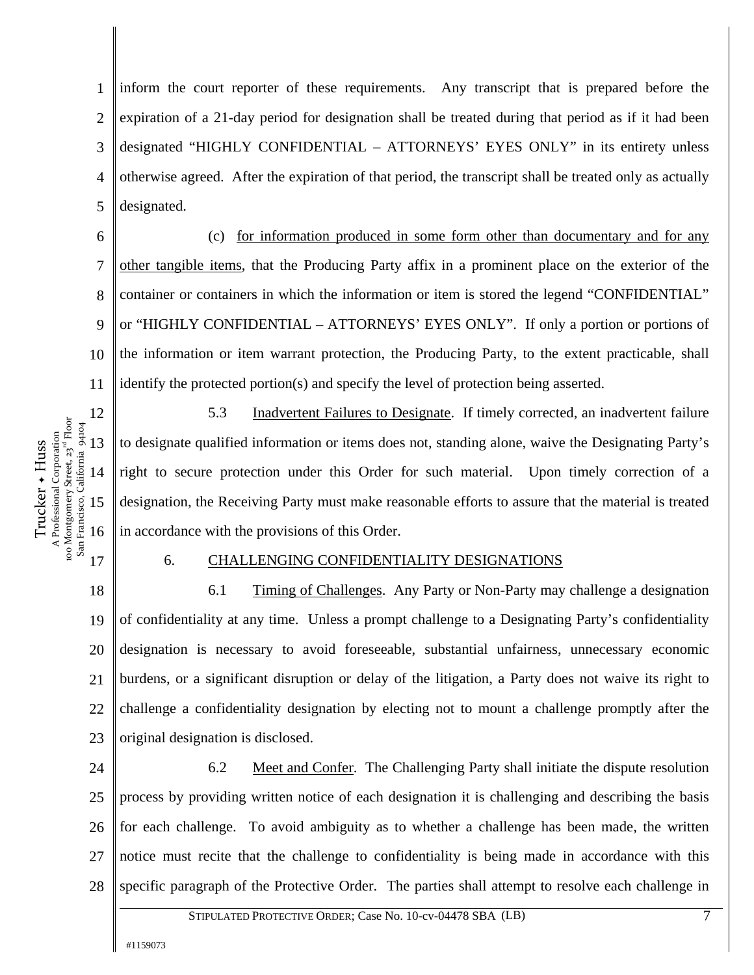1  $\mathcal{D}_{\mathcal{L}}$ 3 4 5 inform the court reporter of these requirements. Any transcript that is prepared before the expiration of a 21-day period for designation shall be treated during that period as if it had been designated "HIGHLY CONFIDENTIAL – ATTORNEYS' EYES ONLY" in its entirety unless otherwise agreed. After the expiration of that period, the transcript shall be treated only as actually designated.

6 7

8

9

10

11

12

13

14

15

16

17

Trucker

Ø Huss

A Professional Corporation 100 Montgomery Street, 23<sup>rd</sup> Floor San Francisco, California 94104

100 Montgomery Street,  $23^{\text{rd}}$  Floor<br>San Francisco, California 94104 A Professional Corporation

(c) for information produced in some form other than documentary and for any other tangible items, that the Producing Party affix in a prominent place on the exterior of the container or containers in which the information or item is stored the legend "CONFIDENTIAL" or "HIGHLY CONFIDENTIAL – ATTORNEYS' EYES ONLY". If only a portion or portions of the information or item warrant protection, the Producing Party, to the extent practicable, shall identify the protected portion(s) and specify the level of protection being asserted.

5.3 Inadvertent Failures to Designate. If timely corrected, an inadvertent failure to designate qualified information or items does not, standing alone, waive the Designating Party's right to secure protection under this Order for such material. Upon timely correction of a designation, the Receiving Party must make reasonable efforts to assure that the material is treated in accordance with the provisions of this Order.

#### 6. CHALLENGING CONFIDENTIALITY DESIGNATIONS

18 19 20 21 22 23 6.1 Timing of Challenges. Any Party or Non-Party may challenge a designation of confidentiality at any time. Unless a prompt challenge to a Designating Party's confidentiality designation is necessary to avoid foreseeable, substantial unfairness, unnecessary economic burdens, or a significant disruption or delay of the litigation, a Party does not waive its right to challenge a confidentiality designation by electing not to mount a challenge promptly after the original designation is disclosed.

24 25 26 27 28 6.2 Meet and Confer. The Challenging Party shall initiate the dispute resolution process by providing written notice of each designation it is challenging and describing the basis for each challenge. To avoid ambiguity as to whether a challenge has been made, the written notice must recite that the challenge to confidentiality is being made in accordance with this specific paragraph of the Protective Order. The parties shall attempt to resolve each challenge in

STIPULATED PROTECTIVE ORDER; Case No. 10-cv-04478 SBA (LB) 7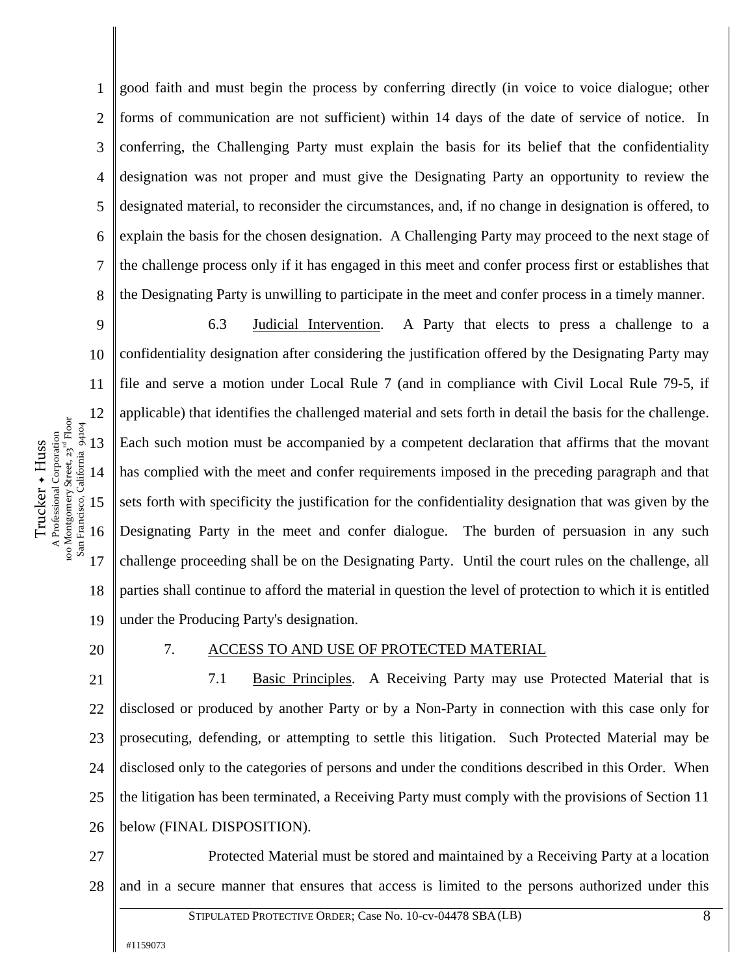1  $\mathfrak{D}$ 3 4 5 6 7 8 good faith and must begin the process by conferring directly (in voice to voice dialogue; other forms of communication are not sufficient) within 14 days of the date of service of notice. In conferring, the Challenging Party must explain the basis for its belief that the confidentiality designation was not proper and must give the Designating Party an opportunity to review the designated material, to reconsider the circumstances, and, if no change in designation is offered, to explain the basis for the chosen designation. A Challenging Party may proceed to the next stage of the challenge process only if it has engaged in this meet and confer process first or establishes that the Designating Party is unwilling to participate in the meet and confer process in a timely manner.

9 10 11 12 13 14 15 16 17 18 19 6.3 Judicial Intervention. A Party that elects to press a challenge to a confidentiality designation after considering the justification offered by the Designating Party may file and serve a motion under Local Rule 7 (and in compliance with Civil Local Rule 79-5, if applicable) that identifies the challenged material and sets forth in detail the basis for the challenge. Each such motion must be accompanied by a competent declaration that affirms that the movant has complied with the meet and confer requirements imposed in the preceding paragraph and that sets forth with specificity the justification for the confidentiality designation that was given by the Designating Party in the meet and confer dialogue. The burden of persuasion in any such challenge proceeding shall be on the Designating Party. Until the court rules on the challenge, all parties shall continue to afford the material in question the level of protection to which it is entitled under the Producing Party's designation.

20

Trucker

Ø Huss

A Professional Corporation 100 Montgomery Street, 23<sup>rd</sup> Floor San Francisco, California 94104

100 Montgomery Street,  $23^{\text{rd}}$  Floor<br>San Francisco, California 94104 A Professional Corporation

## 7. ACCESS TO AND USE OF PROTECTED MATERIAL

21 22 23 24 25 26 7.1 Basic Principles. A Receiving Party may use Protected Material that is disclosed or produced by another Party or by a Non-Party in connection with this case only for prosecuting, defending, or attempting to settle this litigation. Such Protected Material may be disclosed only to the categories of persons and under the conditions described in this Order. When the litigation has been terminated, a Receiving Party must comply with the provisions of Section 11 below (FINAL DISPOSITION).

27 28 Protected Material must be stored and maintained by a Receiving Party at a location and in a secure manner that ensures that access is limited to the persons authorized under this

STIPULATED PROTECTIVE ORDER; Case No. 10-cv-04478 SBA (LB) 8

#1159073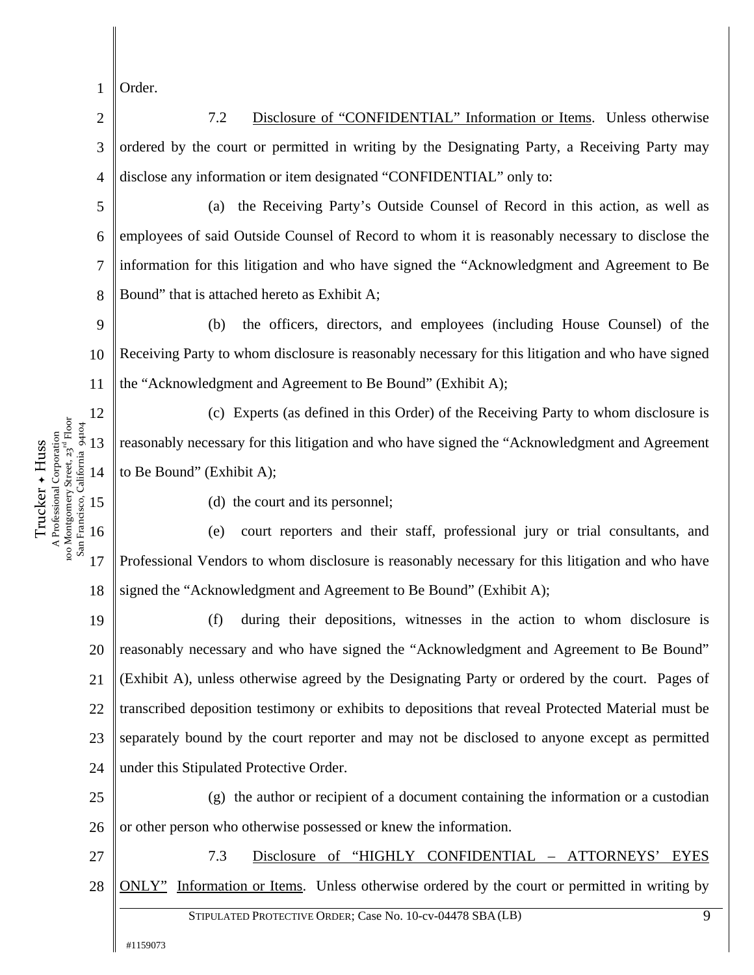1 Order.

2 3 4 7.2 Disclosure of "CONFIDENTIAL" Information or Items. Unless otherwise ordered by the court or permitted in writing by the Designating Party, a Receiving Party may disclose any information or item designated "CONFIDENTIAL" only to:

5

6

7

8

12

13

14

15

17

(a) the Receiving Party's Outside Counsel of Record in this action, as well as employees of said Outside Counsel of Record to whom it is reasonably necessary to disclose the information for this litigation and who have signed the "Acknowledgment and Agreement to Be Bound" that is attached hereto as Exhibit A;

9 10 11 (b) the officers, directors, and employees (including House Counsel) of the Receiving Party to whom disclosure is reasonably necessary for this litigation and who have signed the "Acknowledgment and Agreement to Be Bound" (Exhibit A);

(c) Experts (as defined in this Order) of the Receiving Party to whom disclosure is reasonably necessary for this litigation and who have signed the "Acknowledgment and Agreement to Be Bound" (Exhibit A);

(d) the court and its personnel;

16 18 (e) court reporters and their staff, professional jury or trial consultants, and Professional Vendors to whom disclosure is reasonably necessary for this litigation and who have signed the "Acknowledgment and Agreement to Be Bound" (Exhibit A);

19 20 21 22 (f) during their depositions, witnesses in the action to whom disclosure is reasonably necessary and who have signed the "Acknowledgment and Agreement to Be Bound" (Exhibit A), unless otherwise agreed by the Designating Party or ordered by the court. Pages of transcribed deposition testimony or exhibits to depositions that reveal Protected Material must be separately bound by the court reporter and may not be disclosed to anyone except as permitted under this Stipulated Protective Order.

25 26 (g) the author or recipient of a document containing the information or a custodian or other person who otherwise possessed or knew the information.

27

28

7.3 Disclosure of "HIGHLY CONFIDENTIAL – ATTORNEYS' EYES

ONLY" Information or Items. Unless otherwise ordered by the court or permitted in writing by

STIPULATED PROTECTIVE ORDER; Case No. 10-cv-04478 SBA (LB) 9

23 24

Trucker

Ø Huss

A Professional Corporation 100 Montgomery Street, 23<sup>rd</sup> Floor San Francisco, California 94104

noo Montgomery Street,  $\mathsf{z}_3^\text{rd}$  Floor San Francisco, California 94104 A Professional Corporation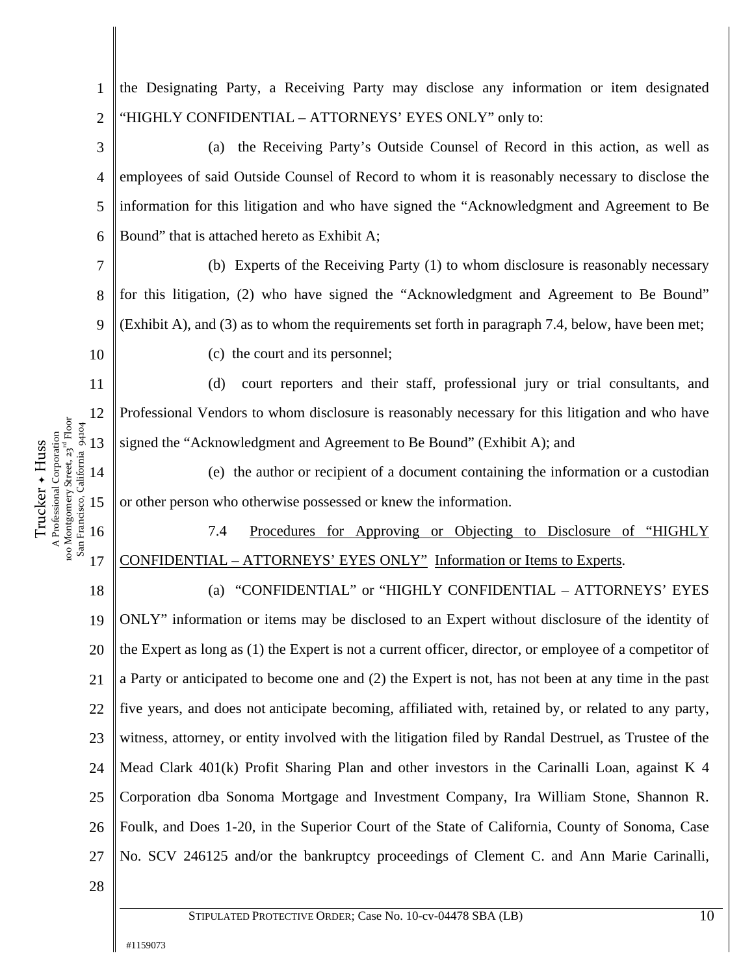3 4 5 6 (a) the Receiving Party's Outside Counsel of Record in this action, as well as employees of said Outside Counsel of Record to whom it is reasonably necessary to disclose the information for this litigation and who have signed the "Acknowledgment and Agreement to Be Bound" that is attached hereto as Exhibit A;

(b) Experts of the Receiving Party (1) to whom disclosure is reasonably necessary for this litigation, (2) who have signed the "Acknowledgment and Agreement to Be Bound" (Exhibit A), and (3) as to whom the requirements set forth in paragraph 7.4, below, have been met;

12 100 Montgomery Street,  $23^{\text{rd}}$  Floor<br>San Francisco, California 94104 100 Montgomery Street, 23<sup>rd</sup> Floor San Francisco, California 94104 A Professional Corporation A Professional Corporation 13 Ø Huss 14 Trucker 15 16

7

8

9

10

11

17

(c) the court and its personnel;

(d) court reporters and their staff, professional jury or trial consultants, and Professional Vendors to whom disclosure is reasonably necessary for this litigation and who have signed the "Acknowledgment and Agreement to Be Bound" (Exhibit A); and

(e) the author or recipient of a document containing the information or a custodian or other person who otherwise possessed or knew the information.

7.4 Procedures for Approving or Objecting to Disclosure of "HIGHLY CONFIDENTIAL – ATTORNEYS' EYES ONLY" Information or Items to Experts.

18 19 20 21 22 23 24 25 26 27 (a) "CONFIDENTIAL" or "HIGHLY CONFIDENTIAL – ATTORNEYS' EYES ONLY" information or items may be disclosed to an Expert without disclosure of the identity of the Expert as long as (1) the Expert is not a current officer, director, or employee of a competitor of a Party or anticipated to become one and (2) the Expert is not, has not been at any time in the past five years, and does not anticipate becoming, affiliated with, retained by, or related to any party, witness, attorney, or entity involved with the litigation filed by Randal Destruel, as Trustee of the Mead Clark 401(k) Profit Sharing Plan and other investors in the Carinalli Loan, against K 4 Corporation dba Sonoma Mortgage and Investment Company, Ira William Stone, Shannon R. Foulk, and Does 1-20, in the Superior Court of the State of California, County of Sonoma, Case No. SCV 246125 and/or the bankruptcy proceedings of Clement C. and Ann Marie Carinalli,

28

[PROPOSED] STIPULATED PROTECTIVE ORDER; Case No. 10-cv-04478 SBA 10 (LB)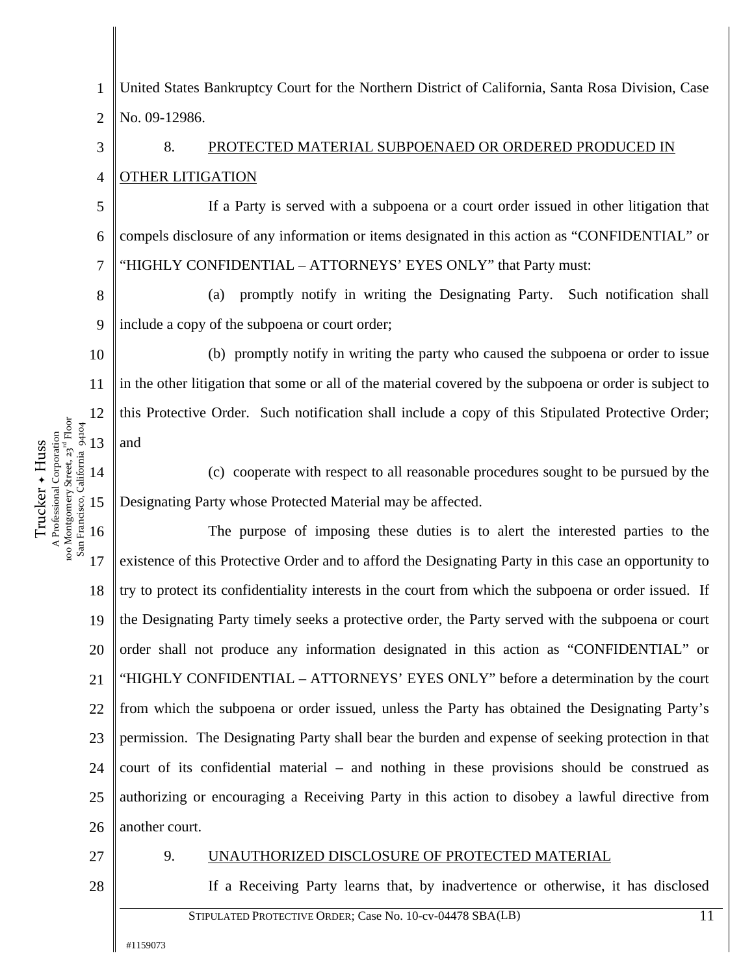1  $\mathfrak{D}$ United States Bankruptcy Court for the Northern District of California, Santa Rosa Division, Case No. 09-12986.

3 4 8. PROTECTED MATERIAL SUBPOENAED OR ORDERED PRODUCED IN OTHER LITIGATION

5 6 7 If a Party is served with a subpoena or a court order issued in other litigation that compels disclosure of any information or items designated in this action as "CONFIDENTIAL" or "HIGHLY CONFIDENTIAL – ATTORNEYS' EYES ONLY" that Party must:

8 9 (a) promptly notify in writing the Designating Party. Such notification shall include a copy of the subpoena or court order;

(b) promptly notify in writing the party who caused the subpoena or order to issue in the other litigation that some or all of the material covered by the subpoena or order is subject to this Protective Order. Such notification shall include a copy of this Stipulated Protective Order; and

(c) cooperate with respect to all reasonable procedures sought to be pursued by the Designating Party whose Protected Material may be affected.

17 18 19 20 21 22 23 24 25 26 The purpose of imposing these duties is to alert the interested parties to the existence of this Protective Order and to afford the Designating Party in this case an opportunity to try to protect its confidentiality interests in the court from which the subpoena or order issued. If the Designating Party timely seeks a protective order, the Party served with the subpoena or court order shall not produce any information designated in this action as "CONFIDENTIAL" or "HIGHLY CONFIDENTIAL – ATTORNEYS' EYES ONLY" before a determination by the court from which the subpoena or order issued, unless the Party has obtained the Designating Party's permission. The Designating Party shall bear the burden and expense of seeking protection in that court of its confidential material – and nothing in these provisions should be construed as authorizing or encouraging a Receiving Party in this action to disobey a lawful directive from another court.

27

28

## 9. UNAUTHORIZED DISCLOSURE OF PROTECTED MATERIAL

If a Receiving Party learns that, by inadvertence or otherwise, it has disclosed

STIPULATED PROTECTIVE ORDER; Case No. 10-cv-04478 SBA(LB) 11

#1159073

noo Montgomery Street, 23<sup>rd</sup> Floor<br>San Francisco, California 94104 100 Montgomery Street, 23<sup>rd</sup> Floor San Francisco, California 94104 A Professional Corporation A Professional Corporation 13 Ø Huss 14 Trucker 15 16

10

11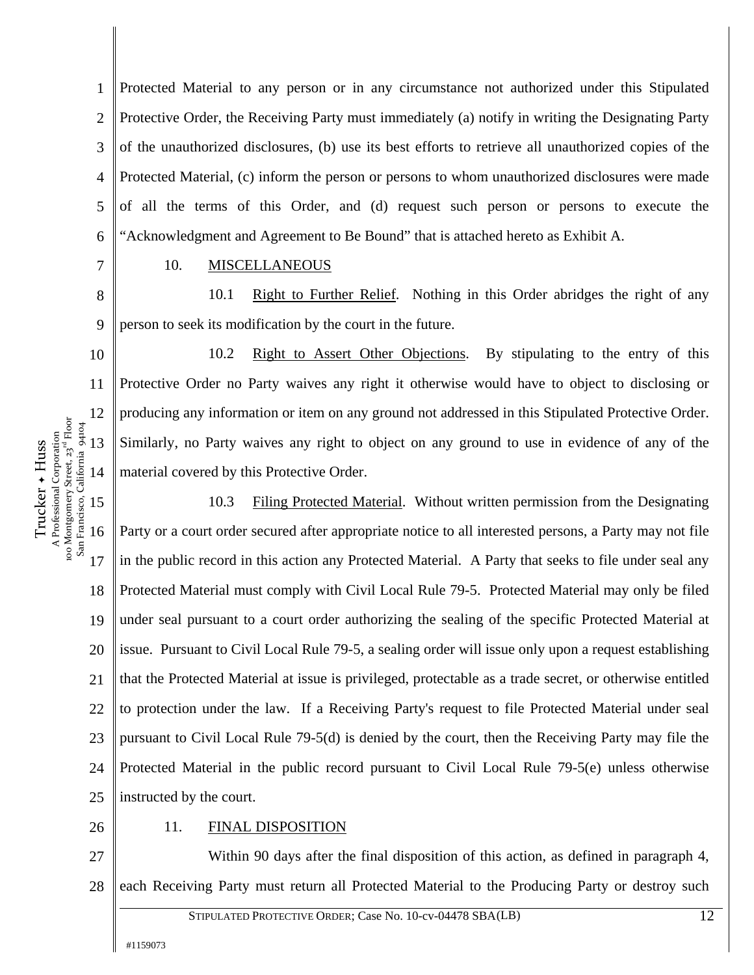1  $\mathcal{D}_{\mathcal{L}}$ 3 4 5 6 Protected Material to any person or in any circumstance not authorized under this Stipulated Protective Order, the Receiving Party must immediately (a) notify in writing the Designating Party of the unauthorized disclosures, (b) use its best efforts to retrieve all unauthorized copies of the Protected Material, (c) inform the person or persons to whom unauthorized disclosures were made of all the terms of this Order, and (d) request such person or persons to execute the "Acknowledgment and Agreement to Be Bound" that is attached hereto as Exhibit A.

7

Trucker

Ø Huss

A Professional Corporation 100 Montgomery Street, 23<sup>rd</sup> Floor San Francisco, California 94104

100 Montgomery Street,  $23^{\text{rd}}$  Floor<br>San Francisco, California 94104 A Professional Corporation

#### 10. MISCELLANEOUS

8 9 10.1 Right to Further Relief. Nothing in this Order abridges the right of any person to seek its modification by the court in the future.

10 11 12 13 14 10.2 Right to Assert Other Objections. By stipulating to the entry of this Protective Order no Party waives any right it otherwise would have to object to disclosing or producing any information or item on any ground not addressed in this Stipulated Protective Order. Similarly, no Party waives any right to object on any ground to use in evidence of any of the material covered by this Protective Order.

15 16 17 18 19 20 21 22 23 24 25 10.3 Filing Protected Material. Without written permission from the Designating Party or a court order secured after appropriate notice to all interested persons, a Party may not file in the public record in this action any Protected Material. A Party that seeks to file under seal any Protected Material must comply with Civil Local Rule 79-5. Protected Material may only be filed under seal pursuant to a court order authorizing the sealing of the specific Protected Material at issue. Pursuant to Civil Local Rule 79-5, a sealing order will issue only upon a request establishing that the Protected Material at issue is privileged, protectable as a trade secret, or otherwise entitled to protection under the law. If a Receiving Party's request to file Protected Material under seal pursuant to Civil Local Rule 79-5(d) is denied by the court, then the Receiving Party may file the Protected Material in the public record pursuant to Civil Local Rule 79-5(e) unless otherwise instructed by the court.

26

## 11. FINAL DISPOSITION

27 28 Within 90 days after the final disposition of this action, as defined in paragraph 4, each Receiving Party must return all Protected Material to the Producing Party or destroy such

STIPULATED PROTECTIVE ORDER; Case No. 10-cv-04478 SBA(LB) 12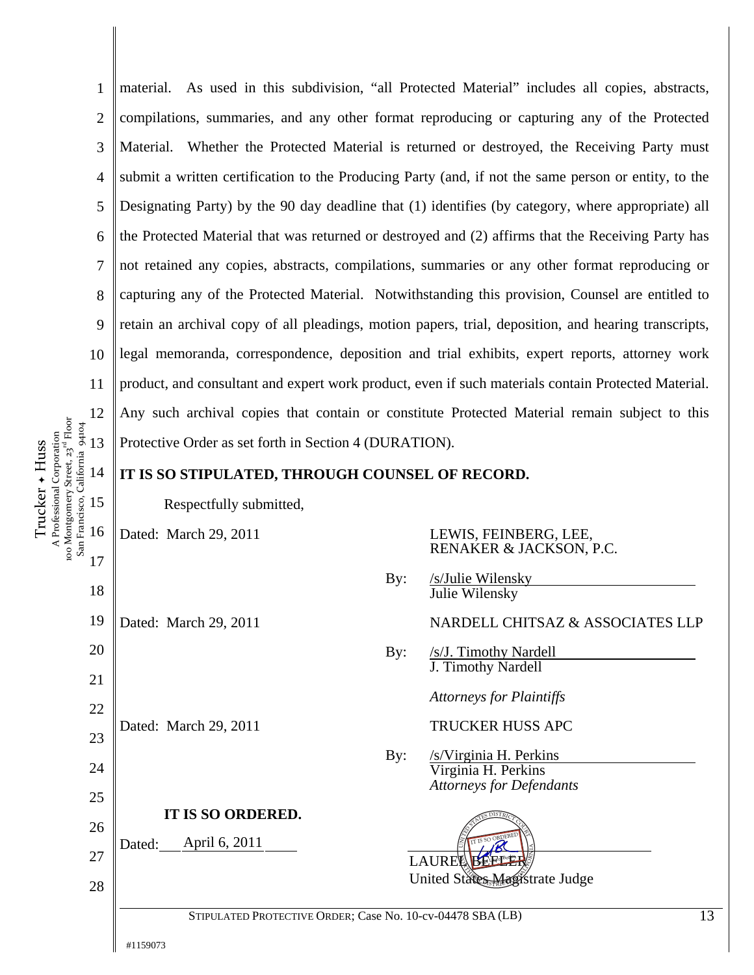1  $\mathfrak{D}$ 3 4 5 6 7 8 9 10 11 12 13 14 material. As used in this subdivision, "all Protected Material" includes all copies, abstracts, compilations, summaries, and any other format reproducing or capturing any of the Protected Material. Whether the Protected Material is returned or destroyed, the Receiving Party must submit a written certification to the Producing Party (and, if not the same person or entity, to the Designating Party) by the 90 day deadline that (1) identifies (by category, where appropriate) all the Protected Material that was returned or destroyed and (2) affirms that the Receiving Party has not retained any copies, abstracts, compilations, summaries or any other format reproducing or capturing any of the Protected Material. Notwithstanding this provision, Counsel are entitled to retain an archival copy of all pleadings, motion papers, trial, deposition, and hearing transcripts, legal memoranda, correspondence, deposition and trial exhibits, expert reports, attorney work product, and consultant and expert work product, even if such materials contain Protected Material. Any such archival copies that contain or constitute Protected Material remain subject to this Protective Order as set forth in Section 4 (DURATION).

# **IT IS SO STIPULATED, THROUGH COUNSEL OF RECORD.**

Respectfully submitted,

Dated: March 29, 2011 LEWIS, FEINBERG, LEE,

 RENAKER & JACKSON, P.C. By: /s/Julie Wilensky Julie Wilensky

Dated: March 29, 2011 NARDELL CHITSAZ & ASSOCIATES LLP

By: /s/J. Timothy Nardell J. Timothy Nardell

A

*Attorneys for Plaintiffs* 

By: /s/Virginia H. Perkins Virginia H. Perkins *Attorneys for Defendants* 

Dated: April 6, 2011<br>
LAUREL BEETER<br>
United States Magistrate Judge<br>
STIPULATED PROTECTIVE ORDER; Case No. 10-cv-04478 SBA (LB) 13 Dated: March 29, 2011 TRUCKER HUSS APC **IT IS SO ORDERED.**  Dated: LAURE SCHLER The Court of The United States Magistrate Judge<br>
United States Magistrate Judge LAURE<sup>1</sup> UNITED DISTRICT CONTROL IT IS SO ORDERED Judge Laurel Beeler

28

#1159073

Trucker

Ø Huss

A Professional Corporation 100 Montgomery Street, 23<sup>rd</sup> Floor San Francisco, California 94104

100 Montgomery Street,  $23^{\text{rd}}$  Floor<br>San Francisco, California 94104 A Professional Corporation

15

16

17

18

19

20

21

22

23

24

25

26